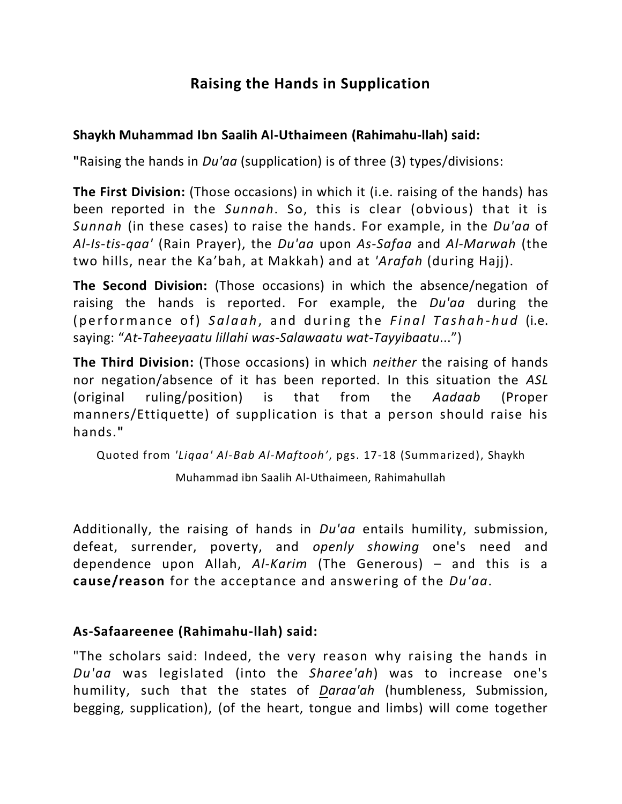## **Raising the Hands in Supplication**

## **Shaykh Muhammad Ibn Saalih Al-Uthaimeen (Rahimahu-llah) said:**

**"**Raising the hands in *Du'aa* (supplication) is of three (3) types/divisions:

**The First Division:** (Those occasions) in which it (i.e. raising of the hands) has been reported in the *Sunnah*. So, this is clear (obvious) that it is *Sunnah* (in these cases) to raise the hands. For example, in the *Du'aa* of *Al-Is-tis-qaa'* (Rain Prayer), the *Du'aa* upon *As-Safaa* and *Al-Marwah* (the two hills, near the Ka'bah, at Makkah) and at *'Arafah* (during Hajj).

**The Second Division:** (Those occasions) in which the absence/negation of raising the hands is reported. For example, the *Du'aa* during the (performance of) *Salaah*, and during the *Final Tashah-hud* (i.e. saying: "*At-Taheeyaatu lillahi was-Salawaatu wat-Tayyibaatu*...")

**The Third Division:** (Those occasions) in which *neither* the raising of hands nor negation/absence of it has been reported. In this situation the *ASL* (original ruling/position) is that from the *Aadaab* (Proper manners/Ettiquette) of supplication is that a person should raise his hands.**"**

Quoted from *'Liqaa' Al-Bab Al-Maftooh'*, pgs. 17-18 (Summarized), Shaykh

Muhammad ibn Saalih Al-Uthaimeen, Rahimahullah

Additionally, the raising of hands in *Du'aa* entails humility, submission, defeat, surrender, poverty, and *openly showing* one's need and dependence upon Allah, *Al-Karim* (The Generous) – and this is a **cause/reason** for the acceptance and answering of the *Du'aa*.

## **As-Safaareenee (Rahimahu-llah) said:**

"The scholars said: Indeed, the very reason why raising the hands in *Du'aa* was legislated (into the *Sharee'ah*) was to increase one's humility, such that the states of *Daraa'ah* (humbleness, Submission, begging, supplication), (of the heart, tongue and limbs) will come together